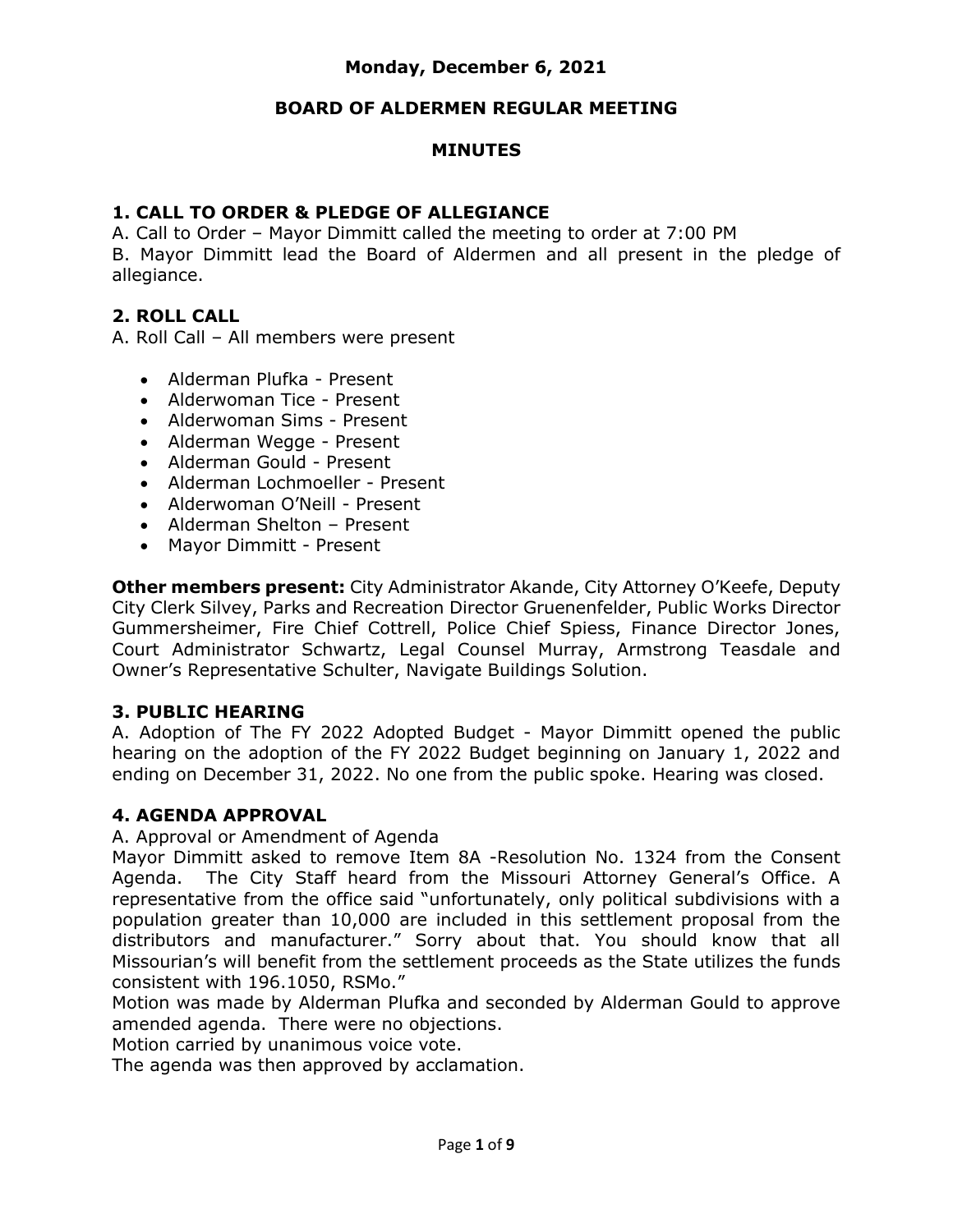#### **BOARD OF ALDERMEN REGULAR MEETING**

### **MINUTES**

#### **1. CALL TO ORDER & PLEDGE OF ALLEGIANCE**

A. Call to Order – Mayor Dimmitt called the meeting to order at 7:00 PM B. Mayor Dimmitt lead the Board of Aldermen and all present in the pledge of allegiance.

## **2. ROLL CALL**

A. Roll Call – All members were present

- Alderman Plufka Present
- Alderwoman Tice Present
- Alderwoman Sims Present
- Alderman Wegge Present
- Alderman Gould Present
- Alderman Lochmoeller Present
- Alderwoman O'Neill Present
- Alderman Shelton Present
- Mayor Dimmitt Present

**Other members present:** City Administrator Akande, City Attorney O'Keefe, Deputy City Clerk Silvey, Parks and Recreation Director Gruenenfelder, Public Works Director Gummersheimer, Fire Chief Cottrell, Police Chief Spiess, Finance Director Jones, Court Administrator Schwartz, Legal Counsel Murray, Armstrong Teasdale and Owner's Representative Schulter, Navigate Buildings Solution.

#### **3. PUBLIC HEARING**

A. Adoption of The FY 2022 Adopted Budget - Mayor Dimmitt opened the public hearing on the adoption of the FY 2022 Budget beginning on January 1, 2022 and ending on December 31, 2022. No one from the public spoke. Hearing was closed.

## **4. AGENDA APPROVAL**

#### A. Approval or Amendment of Agenda

Mayor Dimmitt asked to remove Item 8A -Resolution No. 1324 from the Consent Agenda. The City Staff heard from the Missouri Attorney General's Office. A representative from the office said "unfortunately, only political subdivisions with a population greater than 10,000 are included in this settlement proposal from the distributors and manufacturer." Sorry about that. You should know that all Missourian's will benefit from the settlement proceeds as the State utilizes the funds consistent with 196.1050, RSMo."

Motion was made by Alderman Plufka and seconded by Alderman Gould to approve amended agenda. There were no objections.

Motion carried by unanimous voice vote.

The agenda was then approved by acclamation.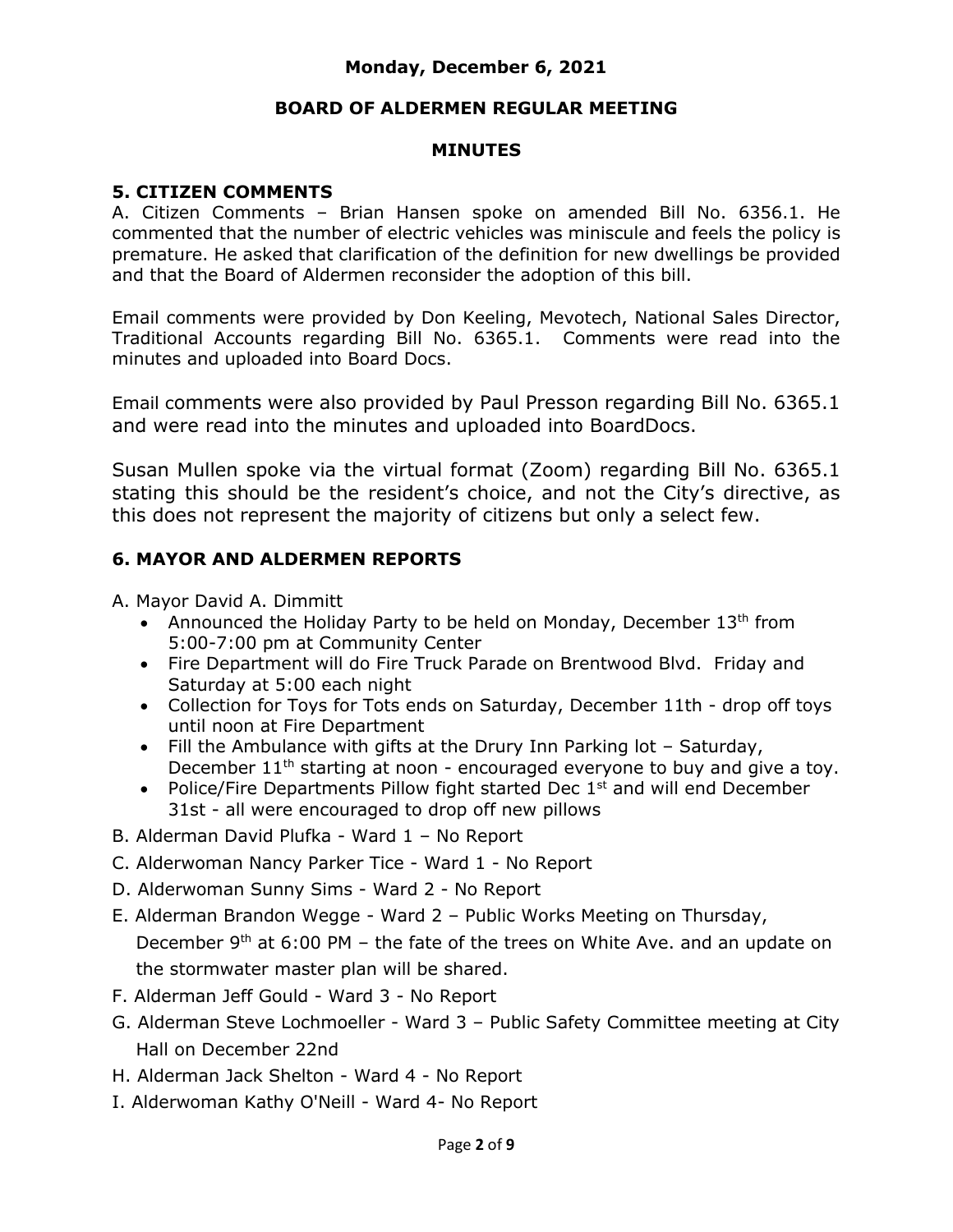## **BOARD OF ALDERMEN REGULAR MEETING**

#### **MINUTES**

## **5. CITIZEN COMMENTS**

A. Citizen Comments – Brian Hansen spoke on amended Bill No. 6356.1. He commented that the number of electric vehicles was miniscule and feels the policy is premature. He asked that clarification of the definition for new dwellings be provided and that the Board of Aldermen reconsider the adoption of this bill.

Email comments were provided by Don Keeling, Mevotech, National Sales Director, Traditional Accounts regarding Bill No. 6365.1. Comments were read into the minutes and uploaded into Board Docs.

Email comments were also provided by Paul Presson regarding Bill No. 6365.1 and were read into the minutes and uploaded into BoardDocs.

Susan Mullen spoke via the virtual format (Zoom) regarding Bill No. 6365.1 stating this should be the resident's choice, and not the City's directive, as this does not represent the majority of citizens but only a select few.

## **6. MAYOR AND ALDERMEN REPORTS**

A. Mayor David A. Dimmitt

- Announced the Holiday Party to be held on Monday, December  $13<sup>th</sup>$  from 5:00-7:00 pm at Community Center
- Fire Department will do Fire Truck Parade on Brentwood Blvd. Friday and Saturday at 5:00 each night
- Collection for Toys for Tots ends on Saturday, December 11th drop off toys until noon at Fire Department
- Fill the Ambulance with gifts at the Drury Inn Parking lot Saturday, December  $11<sup>th</sup>$  starting at noon - encouraged everyone to buy and give a toy.
- Police/Fire Departments Pillow fight started Dec 1<sup>st</sup> and will end December 31st - all were encouraged to drop off new pillows
- B. Alderman David Plufka Ward 1 No Report
- C. Alderwoman Nancy Parker Tice Ward 1 No Report
- D. Alderwoman Sunny Sims Ward 2 No Report
- E. Alderman Brandon Wegge Ward 2 Public Works Meeting on Thursday, December  $9<sup>th</sup>$  at 6:00 PM – the fate of the trees on White Ave. and an update on the stormwater master plan will be shared.
- F. Alderman Jeff Gould Ward 3 No Report
- G. Alderman Steve Lochmoeller Ward 3 Public Safety Committee meeting at City Hall on December 22nd
- H. Alderman Jack Shelton Ward 4 No Report
- I. Alderwoman Kathy O'Neill Ward 4- No Report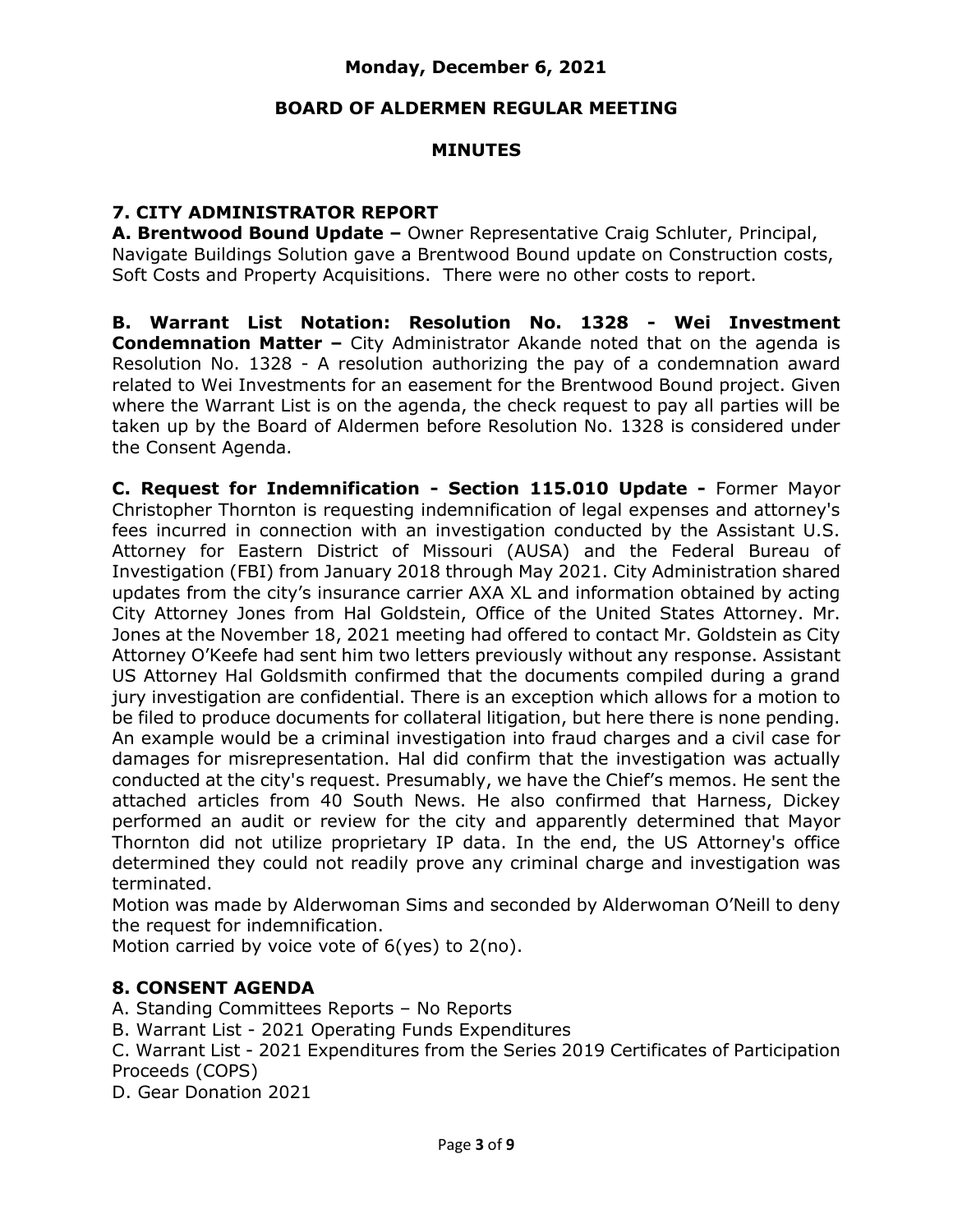#### **BOARD OF ALDERMEN REGULAR MEETING**

## **MINUTES**

### **7. CITY ADMINISTRATOR REPORT**

**A. Brentwood Bound Update –** Owner Representative Craig Schluter, Principal, Navigate Buildings Solution gave a Brentwood Bound update on Construction costs, Soft Costs and Property Acquisitions. There were no other costs to report.

**B. Warrant List Notation: Resolution No. 1328 - Wei Investment Condemnation Matter –** City Administrator Akande noted that on the agenda is Resolution No. 1328 - A resolution authorizing the pay of a condemnation award related to Wei Investments for an easement for the Brentwood Bound project. Given where the Warrant List is on the agenda, the check request to pay all parties will be taken up by the Board of Aldermen before Resolution No. 1328 is considered under the Consent Agenda.

**C. Request for Indemnification - Section 115.010 Update -** Former Mayor Christopher Thornton is requesting indemnification of legal expenses and attorney's fees incurred in connection with an investigation conducted by the Assistant U.S. Attorney for Eastern District of Missouri (AUSA) and the Federal Bureau of Investigation (FBI) from January 2018 through May 2021. City Administration shared updates from the city's insurance carrier AXA XL and information obtained by acting City Attorney Jones from Hal Goldstein, Office of the United States Attorney. Mr. Jones at the November 18, 2021 meeting had offered to contact Mr. Goldstein as City Attorney O'Keefe had sent him two letters previously without any response. Assistant US Attorney Hal Goldsmith confirmed that the documents compiled during a grand jury investigation are confidential. There is an exception which allows for a motion to be filed to produce documents for collateral litigation, but here there is none pending. An example would be a criminal investigation into fraud charges and a civil case for damages for misrepresentation. Hal did confirm that the investigation was actually conducted at the city's request. Presumably, we have the Chief's memos. He sent the attached articles from 40 South News. He also confirmed that Harness, Dickey performed an audit or review for the city and apparently determined that Mayor Thornton did not utilize proprietary IP data. In the end, the US Attorney's office determined they could not readily prove any criminal charge and investigation was terminated.

Motion was made by Alderwoman Sims and seconded by Alderwoman O'Neill to deny the request for indemnification.

Motion carried by voice vote of 6(yes) to 2(no).

## **8. CONSENT AGENDA**

A. Standing Committees Reports – No Reports

B. Warrant List - 2021 Operating Funds Expenditures

C. Warrant List - 2021 Expenditures from the Series 2019 Certificates of Participation Proceeds (COPS)

D. Gear Donation 2021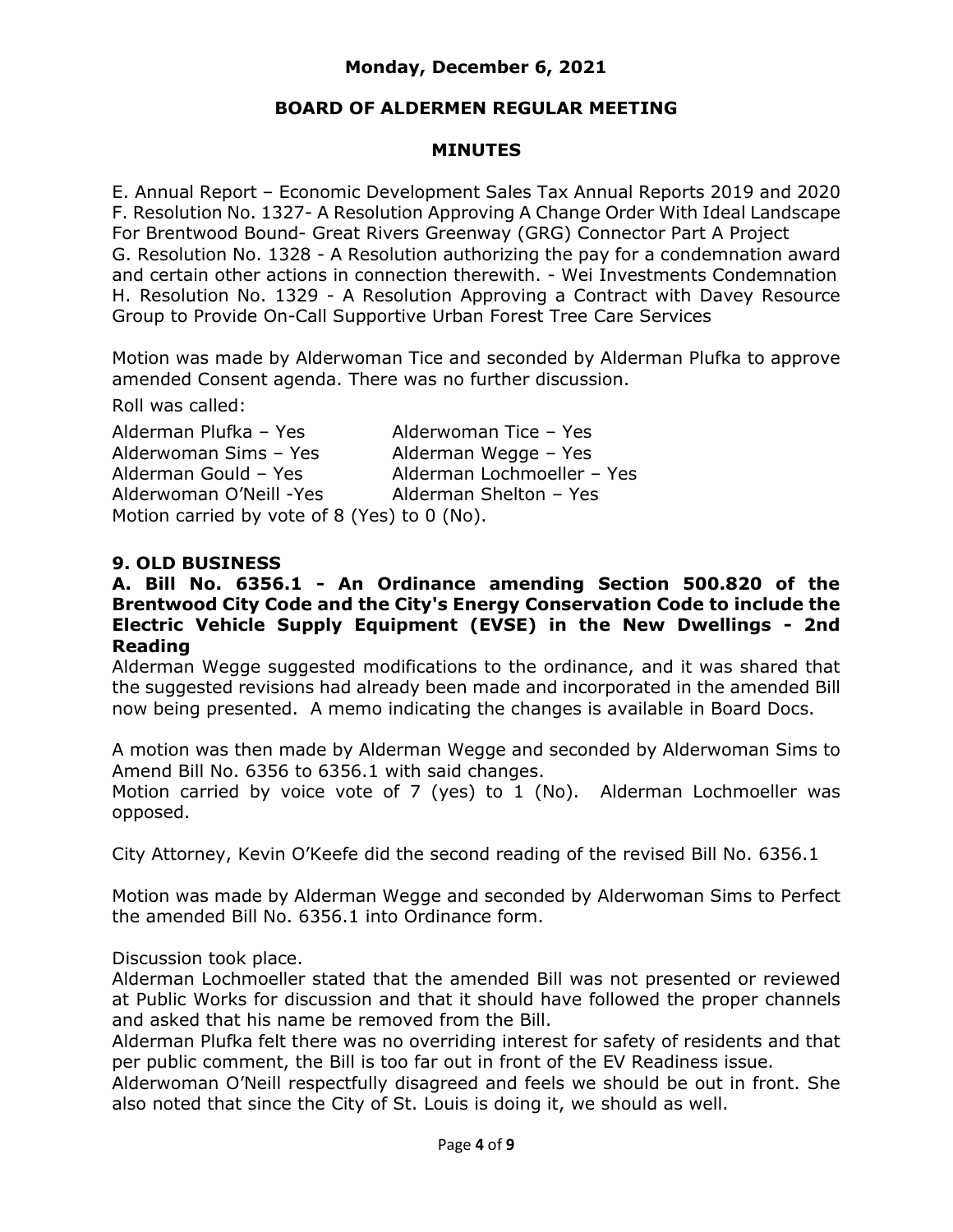## **BOARD OF ALDERMEN REGULAR MEETING**

## **MINUTES**

E. Annual Report – Economic Development Sales Tax Annual Reports 2019 and 2020 F. Resolution No. 1327- A Resolution Approving A Change Order With Ideal Landscape For Brentwood Bound- Great Rivers Greenway (GRG) Connector Part A Project G. Resolution No. 1328 - A Resolution authorizing the pay for a condemnation award and certain other actions in connection therewith. - Wei Investments Condemnation H. Resolution No. 1329 - A Resolution Approving a Contract with Davey Resource Group to Provide On-Call Supportive Urban Forest Tree Care Services

Motion was made by Alderwoman Tice and seconded by Alderman Plufka to approve amended Consent agenda. There was no further discussion.

#### Roll was called:

Alderman Plufka – Yes Alderwoman Tice – Yes Alderwoman Sims – Yes Alderman Wegge – Yes Alderman Gould – Yes Alderman Lochmoeller – Yes Alderwoman O'Neill -Yes Alderman Shelton – Yes Motion carried by vote of 8 (Yes) to 0 (No).

#### **9. OLD BUSINESS**

#### **A. Bill No. 6356.1 - An Ordinance amending Section 500.820 of the Brentwood City Code and the City's Energy Conservation Code to include the Electric Vehicle Supply Equipment (EVSE) in the New Dwellings - 2nd Reading**

Alderman Wegge suggested modifications to the ordinance, and it was shared that the suggested revisions had already been made and incorporated in the amended Bill now being presented. A memo indicating the changes is available in Board Docs.

A motion was then made by Alderman Wegge and seconded by Alderwoman Sims to Amend Bill No. 6356 to 6356.1 with said changes.

Motion carried by voice vote of 7 (yes) to 1 (No). Alderman Lochmoeller was opposed.

City Attorney, Kevin O'Keefe did the second reading of the revised Bill No. 6356.1

Motion was made by Alderman Wegge and seconded by Alderwoman Sims to Perfect the amended Bill No. 6356.1 into Ordinance form.

Discussion took place.

Alderman Lochmoeller stated that the amended Bill was not presented or reviewed at Public Works for discussion and that it should have followed the proper channels and asked that his name be removed from the Bill.

Alderman Plufka felt there was no overriding interest for safety of residents and that per public comment, the Bill is too far out in front of the EV Readiness issue.

Alderwoman O'Neill respectfully disagreed and feels we should be out in front. She also noted that since the City of St. Louis is doing it, we should as well.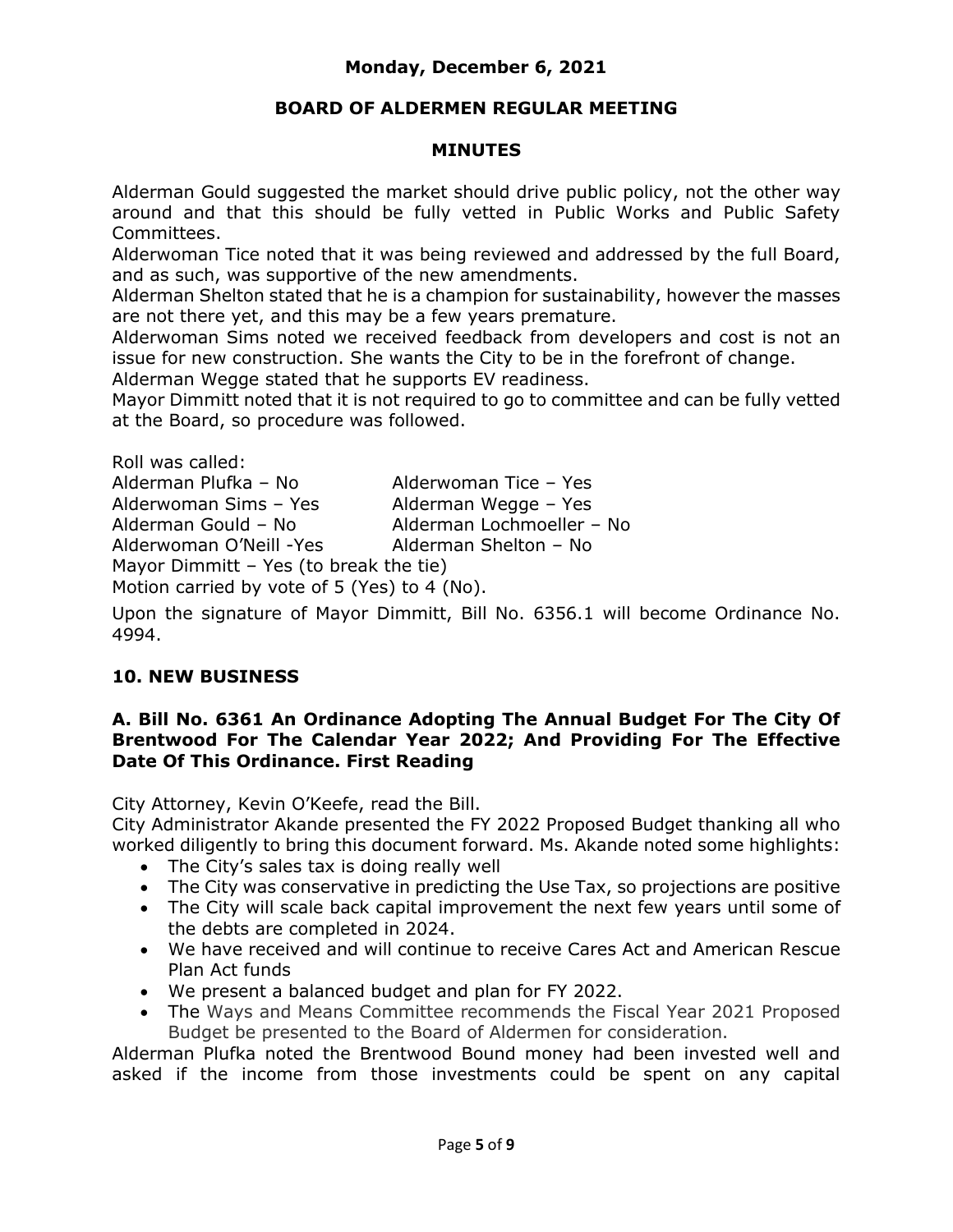# **BOARD OF ALDERMEN REGULAR MEETING**

### **MINUTES**

Alderman Gould suggested the market should drive public policy, not the other way around and that this should be fully vetted in Public Works and Public Safety Committees.

Alderwoman Tice noted that it was being reviewed and addressed by the full Board, and as such, was supportive of the new amendments.

Alderman Shelton stated that he is a champion for sustainability, however the masses are not there yet, and this may be a few years premature.

Alderwoman Sims noted we received feedback from developers and cost is not an issue for new construction. She wants the City to be in the forefront of change.

Alderman Wegge stated that he supports EV readiness.

Mayor Dimmitt noted that it is not required to go to committee and can be fully vetted at the Board, so procedure was followed.

Roll was called: Alderman Plufka – No Alderwoman Tice – Yes Alderwoman Sims – Yes Alderman Wegge – Yes Alderman Gould – No Alderman Lochmoeller – No Alderwoman O'Neill -Yes Alderman Shelton - No Mayor Dimmitt – Yes (to break the tie) Motion carried by vote of 5 (Yes) to 4 (No).

Upon the signature of Mayor Dimmitt, Bill No. 6356.1 will become Ordinance No. 4994.

# **10. NEW BUSINESS**

## **A. Bill No. 6361 An Ordinance Adopting The Annual Budget For The City Of Brentwood For The Calendar Year 2022; And Providing For The Effective Date Of This Ordinance. First Reading**

City Attorney, Kevin O'Keefe, read the Bill.

City Administrator Akande presented the FY 2022 Proposed Budget thanking all who worked diligently to bring this document forward. Ms. Akande noted some highlights:

- The City's sales tax is doing really well
- The City was conservative in predicting the Use Tax, so projections are positive
- The City will scale back capital improvement the next few years until some of the debts are completed in 2024.
- We have received and will continue to receive Cares Act and American Rescue Plan Act funds
- We present a balanced budget and plan for FY 2022.
- The Ways and Means Committee recommends the Fiscal Year 2021 Proposed Budget be presented to the Board of Aldermen for consideration.

Alderman Plufka noted the Brentwood Bound money had been invested well and asked if the income from those investments could be spent on any capital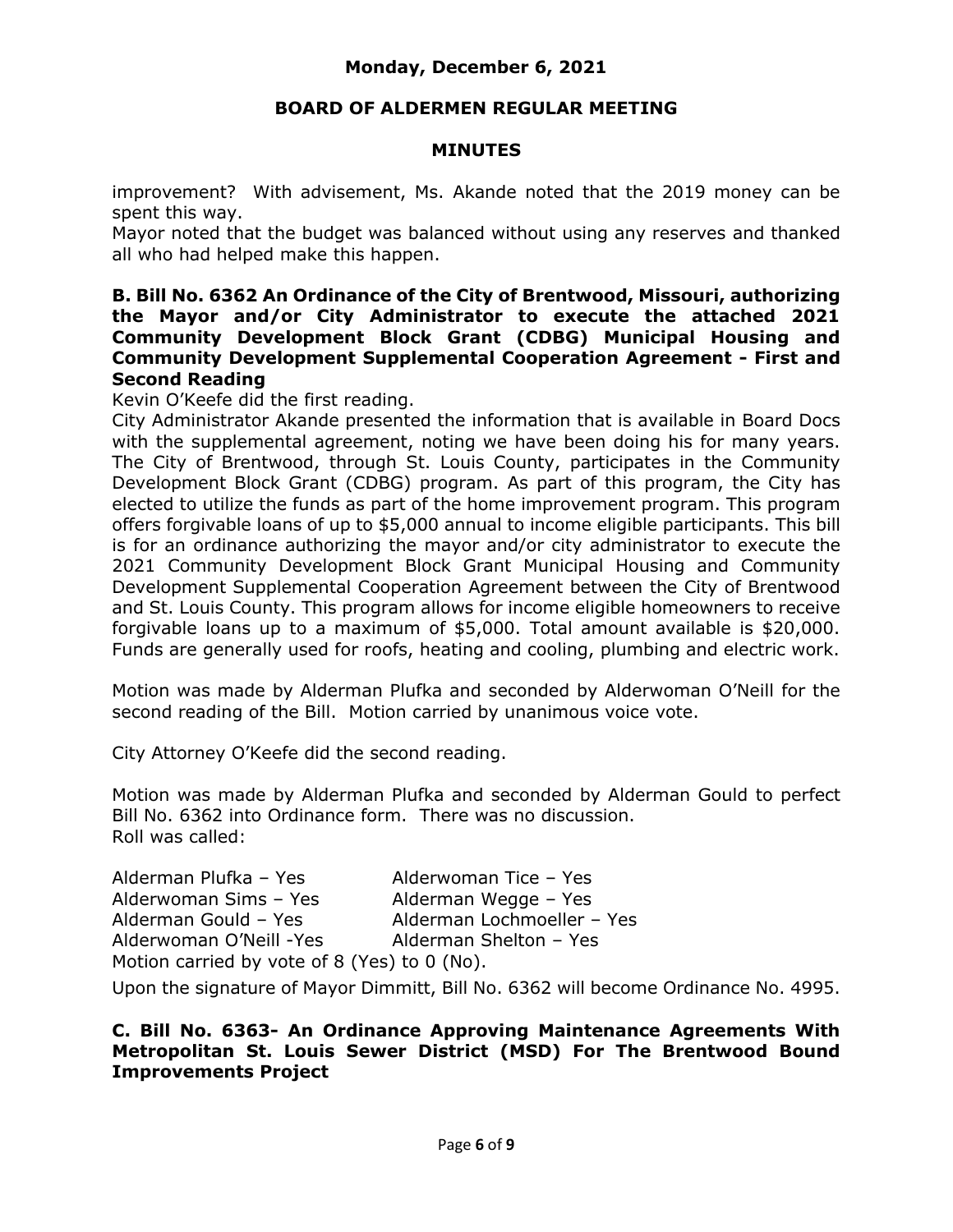## **BOARD OF ALDERMEN REGULAR MEETING**

#### **MINUTES**

improvement? With advisement, Ms. Akande noted that the 2019 money can be spent this way.

Mayor noted that the budget was balanced without using any reserves and thanked all who had helped make this happen.

#### **B. Bill No. 6362 An Ordinance of the City of Brentwood, Missouri, authorizing the Mayor and/or City Administrator to execute the attached 2021 Community Development Block Grant (CDBG) Municipal Housing and Community Development Supplemental Cooperation Agreement - First and Second Reading**

Kevin O'Keefe did the first reading.

City Administrator Akande presented the information that is available in Board Docs with the supplemental agreement, noting we have been doing his for many years. The City of Brentwood, through St. Louis County, participates in the Community Development Block Grant (CDBG) program. As part of this program, the City has elected to utilize the funds as part of the home improvement program. This program offers forgivable loans of up to \$5,000 annual to income eligible participants. This bill is for an ordinance authorizing the mayor and/or city administrator to execute the 2021 Community Development Block Grant Municipal Housing and Community Development Supplemental Cooperation Agreement between the City of Brentwood and St. Louis County. This program allows for income eligible homeowners to receive forgivable loans up to a maximum of \$5,000. Total amount available is \$20,000. Funds are generally used for roofs, heating and cooling, plumbing and electric work.

Motion was made by Alderman Plufka and seconded by Alderwoman O'Neill for the second reading of the Bill. Motion carried by unanimous voice vote.

City Attorney O'Keefe did the second reading.

Motion was made by Alderman Plufka and seconded by Alderman Gould to perfect Bill No. 6362 into Ordinance form. There was no discussion. Roll was called:

| Alderman Plufka - Yes                        | Alderwoman Tice - Yes      |
|----------------------------------------------|----------------------------|
| Alderwoman Sims - Yes                        | Alderman Wegge - Yes       |
| Alderman Gould - Yes                         | Alderman Lochmoeller - Yes |
| Alderwoman O'Neill -Yes                      | Alderman Shelton - Yes     |
| Motion carried by vote of 8 (Yes) to 0 (No). |                            |

Upon the signature of Mayor Dimmitt, Bill No. 6362 will become Ordinance No. 4995.

#### **C. Bill No. 6363- An Ordinance Approving Maintenance Agreements With Metropolitan St. Louis Sewer District (MSD) For The Brentwood Bound Improvements Project**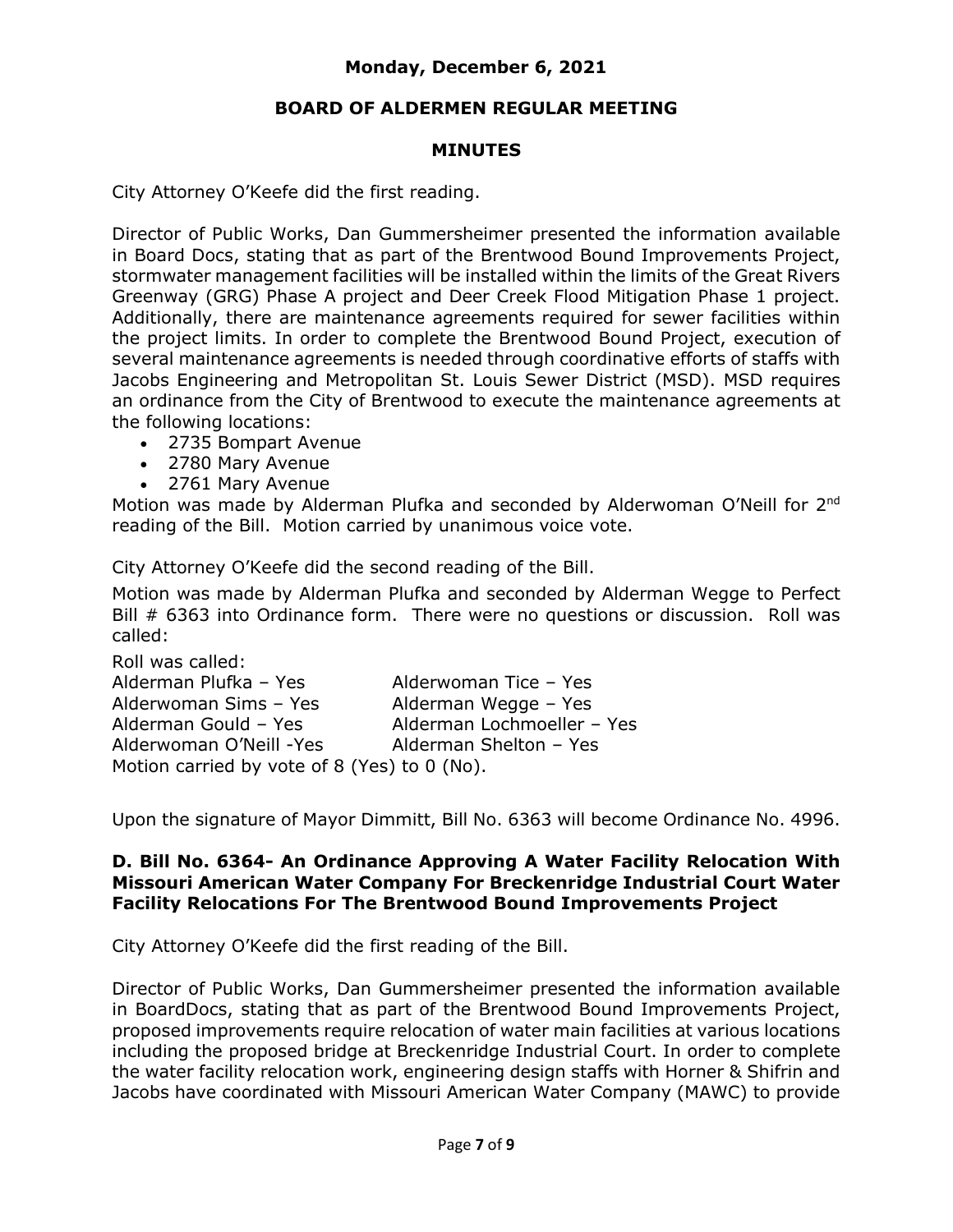## **BOARD OF ALDERMEN REGULAR MEETING**

## **MINUTES**

City Attorney O'Keefe did the first reading.

Director of Public Works, Dan Gummersheimer presented the information available in Board Docs, stating that as part of the Brentwood Bound Improvements Project, stormwater management facilities will be installed within the limits of the Great Rivers Greenway (GRG) Phase A project and Deer Creek Flood Mitigation Phase 1 project. Additionally, there are maintenance agreements required for sewer facilities within the project limits. In order to complete the Brentwood Bound Project, execution of several maintenance agreements is needed through coordinative efforts of staffs with Jacobs Engineering and Metropolitan St. Louis Sewer District (MSD). MSD requires an ordinance from the City of Brentwood to execute the maintenance agreements at the following locations:

- 2735 Bompart Avenue
- 2780 Mary Avenue
- 2761 Mary Avenue

Motion was made by Alderman Plufka and seconded by Alderwoman O'Neill for 2<sup>nd</sup> reading of the Bill. Motion carried by unanimous voice vote.

City Attorney O'Keefe did the second reading of the Bill.

Motion was made by Alderman Plufka and seconded by Alderman Wegge to Perfect Bill # 6363 into Ordinance form. There were no questions or discussion. Roll was called:

Roll was called: Alderman Plufka – Yes Alderwoman Tice – Yes Alderwoman Sims – Yes Alderman Wegge – Yes Alderman Gould – Yes Alderman Lochmoeller – Yes Alderwoman O'Neill -Yes Alderman Shelton – Yes Motion carried by vote of 8 (Yes) to 0 (No).

Upon the signature of Mayor Dimmitt, Bill No. 6363 will become Ordinance No. 4996.

#### **D. Bill No. 6364- An Ordinance Approving A Water Facility Relocation With Missouri American Water Company For Breckenridge Industrial Court Water Facility Relocations For The Brentwood Bound Improvements Project**

City Attorney O'Keefe did the first reading of the Bill.

Director of Public Works, Dan Gummersheimer presented the information available in BoardDocs, stating that as part of the Brentwood Bound Improvements Project, proposed improvements require relocation of water main facilities at various locations including the proposed bridge at Breckenridge Industrial Court. In order to complete the water facility relocation work, engineering design staffs with Horner & Shifrin and Jacobs have coordinated with Missouri American Water Company (MAWC) to provide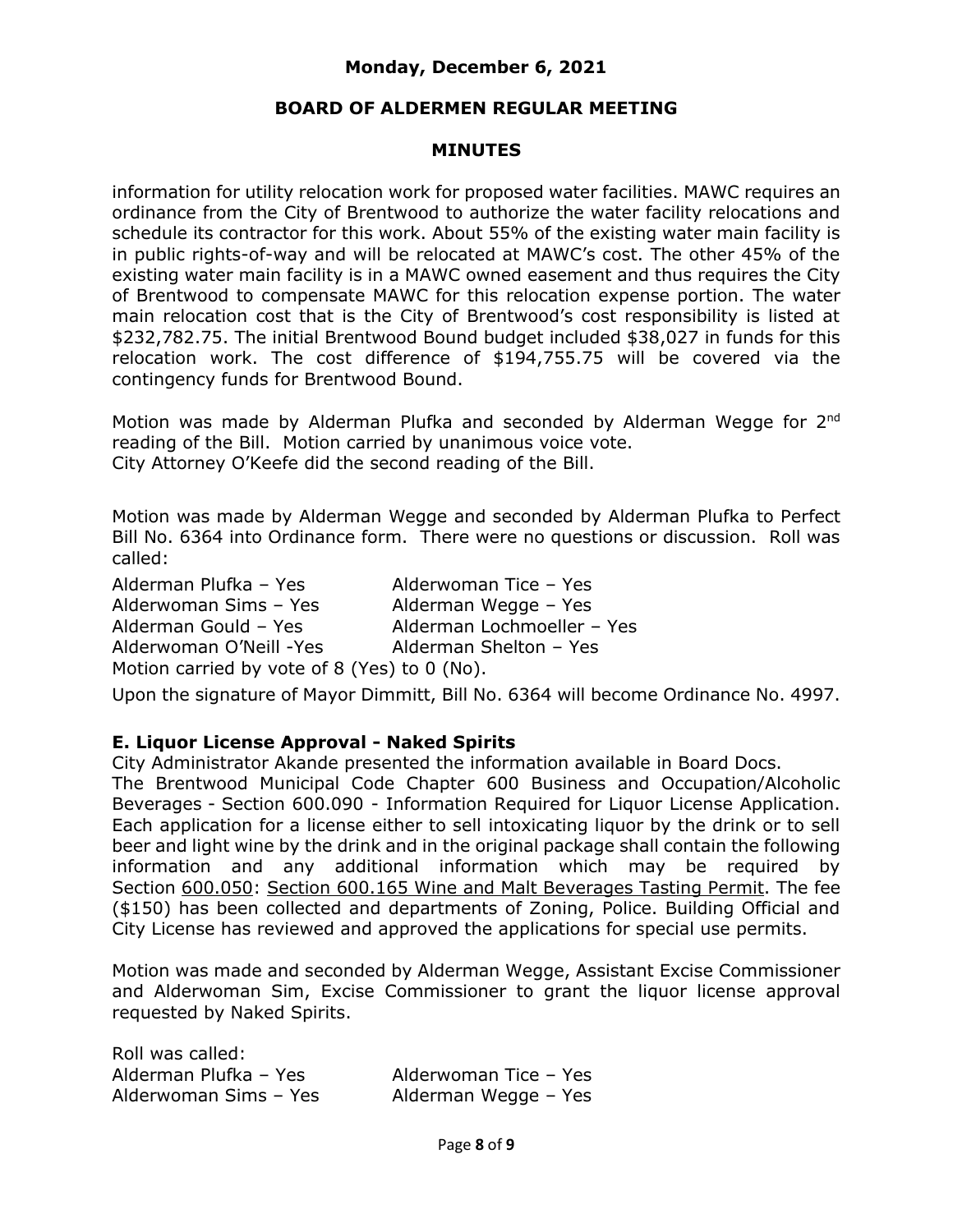#### **BOARD OF ALDERMEN REGULAR MEETING**

#### **MINUTES**

information for utility relocation work for proposed water facilities. MAWC requires an ordinance from the City of Brentwood to authorize the water facility relocations and schedule its contractor for this work. About 55% of the existing water main facility is in public rights-of-way and will be relocated at MAWC's cost. The other 45% of the existing water main facility is in a MAWC owned easement and thus requires the City of Brentwood to compensate MAWC for this relocation expense portion. The water main relocation cost that is the City of Brentwood's cost responsibility is listed at \$232,782.75. The initial Brentwood Bound budget included \$38,027 in funds for this relocation work. The cost difference of \$194,755.75 will be covered via the contingency funds for Brentwood Bound.

Motion was made by Alderman Plufka and seconded by Alderman Wegge for 2<sup>nd</sup> reading of the Bill. Motion carried by unanimous voice vote. City Attorney O'Keefe did the second reading of the Bill.

Motion was made by Alderman Wegge and seconded by Alderman Plufka to Perfect Bill No. 6364 into Ordinance form. There were no questions or discussion. Roll was called:

Alderman Plufka – Yes Alderwoman Tice – Yes Alderwoman Sims – Yes Alderman Wegge – Yes Alderman Gould – Yes Alderman Lochmoeller – Yes Alderwoman O'Neill -Yes Alderman Shelton - Yes Motion carried by vote of 8 (Yes) to 0 (No).

Upon the signature of Mayor Dimmitt, Bill No. 6364 will become Ordinance No. 4997.

#### **E. Liquor License Approval - Naked Spirits**

City Administrator Akande presented the information available in Board Docs. The Brentwood Municipal Code Chapter 600 Business and Occupation/Alcoholic Beverages - Section 600.090 - Information Required for Liquor License Application. Each application for a license either to sell intoxicating liquor by the drink or to sell beer and light wine by the drink and in the original package shall contain the following information and any additional information which may be required by Section [600.050:](https://ecode360.com/29385030#29385030) [Section 600.165 Wine and Malt Beverages Tasting Permit.](https://ecode360.com/29385065?highlight=tasting,tastings) The fee (\$150) has been collected and departments of Zoning, Police. Building Official and

City License has reviewed and approved the applications for special use permits.

Motion was made and seconded by Alderman Wegge, Assistant Excise Commissioner and Alderwoman Sim, Excise Commissioner to grant the liquor license approval requested by Naked Spirits.

Roll was called: Alderman Plufka – Yes Alderwoman Tice – Yes Alderwoman Sims – Yes Alderman Wegge – Yes